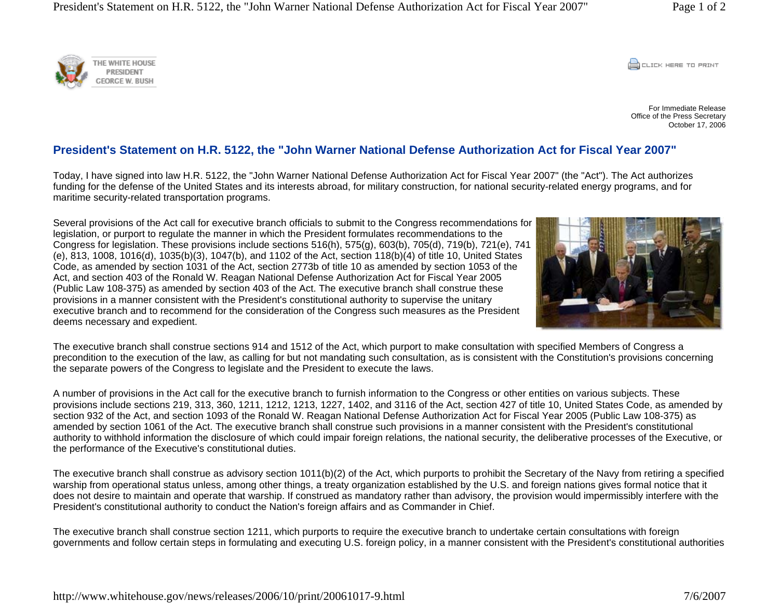**CONCRETE PRINT** 

For Immediate ReleaseOffice of the Press Secretary October 17, 2006

## **President's Statement on H.R. 5122, the "John Warner National Defense Authorization Act for Fiscal Year 2007"**

Today, I have signed into law H.R. 5122, the "John Warner National Defense Authorization Act for Fiscal Year 2007" (the "Act"). The Act authorizes funding for the defense of the United States and its interests abroad, for military construction, for national security-related energy programs, and for maritime security-related transportation programs.

Several provisions of the Act call for executive branch officials to submit to the Congress recommendations for legislation, or purport to regulate the manner in which the President formulates recommendations to the Congress for legislation. These provisions include sections 516(h), 575(g), 603(b), 705(d), 719(b), 721(e), 741 (e), 813, 1008, 1016(d), 1035(b)(3), 1047(b), and 1102 of the Act, section 118(b)(4) of title 10, United States Code, as amended by section 1031 of the Act, section 2773b of title 10 as amended by section 1053 of the Act, and section 403 of the Ronald W. Reagan National Defense Authorization Act for Fiscal Year 2005 (Public Law 108-375) as amended by section 403 of the Act. The executive branch shall construe these provisions in a manner consistent with the President's constitutional authority to supervise the unitary executive branch and to recommend for the consideration of the Congress such measures as the President deems necessary and expedient.

The executive branch shall construe sections 914 and 1512 of the Act, which purport to make consultation with specified Members of Congress a precondition to the execution of the law, as calling for but not mandating such consultation, as is consistent with the Constitution's provisions concerning the separate powers of the Congress to legislate and the President to execute the laws.

A number of provisions in the Act call for the executive branch to furnish information to the Congress or other entities on various subjects. These provisions include sections 219, 313, 360, 1211, 1212, 1213, 1227, 1402, and 3116 of the Act, section 427 of title 10, United States Code, as amended by section 932 of the Act, and section 1093 of the Ronald W. Reagan National Defense Authorization Act for Fiscal Year 2005 (Public Law 108-375) as amended by section 1061 of the Act. The executive branch shall construe such provisions in a manner consistent with the President's constitutional authority to withhold information the disclosure of which could impair foreign relations, the national security, the deliberative processes of the Executive, or the performance of the Executive's constitutional duties.

The executive branch shall construe as advisory section 1011(b)(2) of the Act, which purports to prohibit the Secretary of the Navy from retiring a specified warship from operational status unless, among other things, a treaty organization established by the U.S. and foreign nations gives formal notice that it does not desire to maintain and operate that warship. If construed as mandatory rather than advisory, the provision would impermissibly interfere with the President's constitutional authority to conduct the Nation's foreign affairs and as Commander in Chief.

The executive branch shall construe section 1211, which purports to require the executive branch to undertake certain consultations with foreign governments and follow certain steps in formulating and executing U.S. foreign policy, in a manner consistent with the President's constitutional authorities